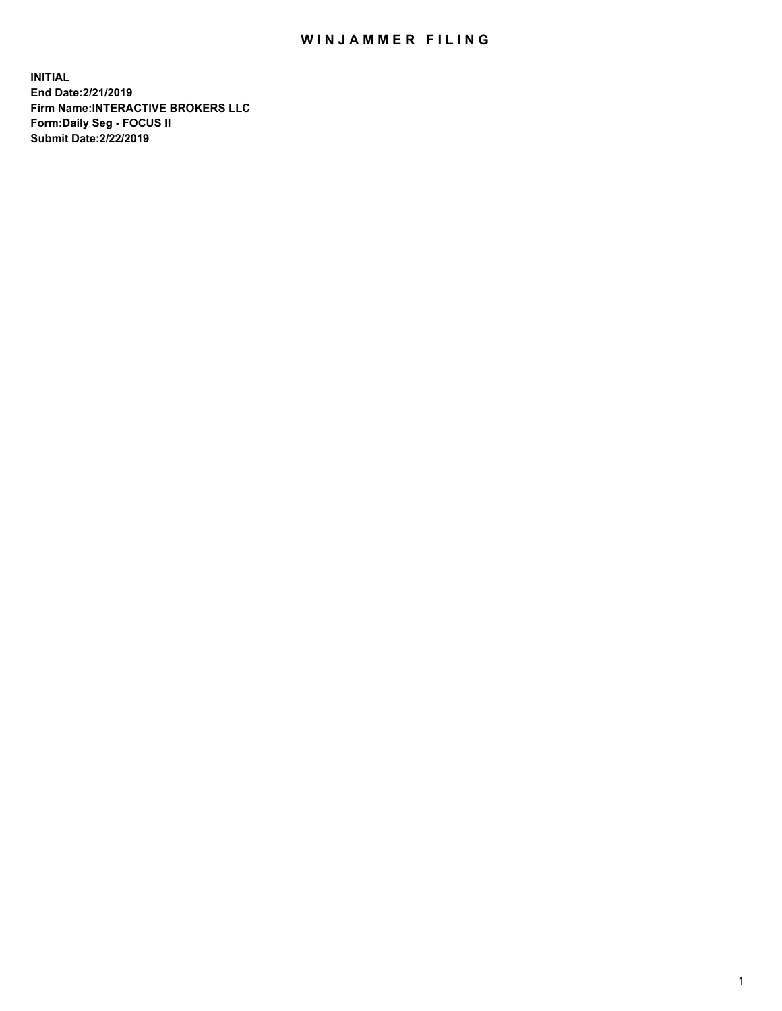## WIN JAMMER FILING

**INITIAL End Date:2/21/2019 Firm Name:INTERACTIVE BROKERS LLC Form:Daily Seg - FOCUS II Submit Date:2/22/2019**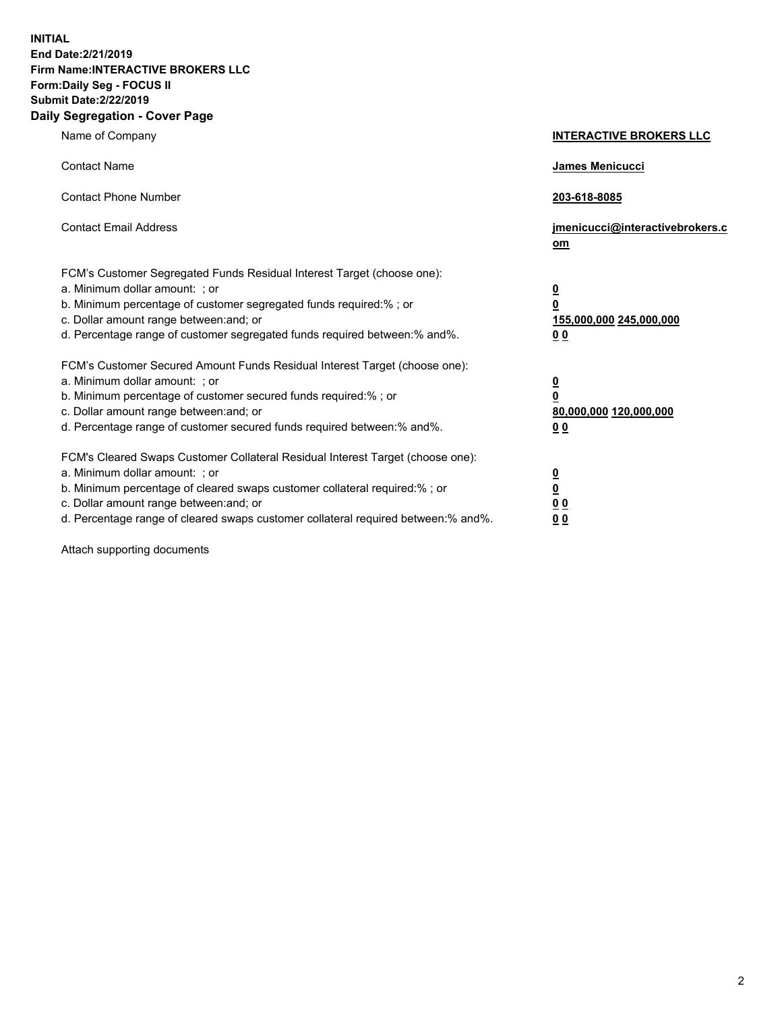**INITIAL End Date:2/21/2019 Firm Name:INTERACTIVE BROKERS LLC Form:Daily Seg - FOCUS II Submit Date:2/22/2019 Daily Segregation - Cover Page**

| Name of Company                                                                                                                                                                                                                                                                                                                | <b>INTERACTIVE BROKERS LLC</b>                                                                  |
|--------------------------------------------------------------------------------------------------------------------------------------------------------------------------------------------------------------------------------------------------------------------------------------------------------------------------------|-------------------------------------------------------------------------------------------------|
| <b>Contact Name</b>                                                                                                                                                                                                                                                                                                            | <b>James Menicucci</b>                                                                          |
| <b>Contact Phone Number</b>                                                                                                                                                                                                                                                                                                    | 203-618-8085                                                                                    |
| <b>Contact Email Address</b>                                                                                                                                                                                                                                                                                                   | jmenicucci@interactivebrokers.c<br>$om$                                                         |
| FCM's Customer Segregated Funds Residual Interest Target (choose one):<br>a. Minimum dollar amount: ; or<br>b. Minimum percentage of customer segregated funds required:% ; or<br>c. Dollar amount range between: and; or<br>d. Percentage range of customer segregated funds required between:% and%.                         | $\overline{\mathbf{0}}$<br>$\overline{\mathbf{0}}$<br>155,000,000 245,000,000<br>0 <sub>0</sub> |
| FCM's Customer Secured Amount Funds Residual Interest Target (choose one):<br>a. Minimum dollar amount: ; or<br>b. Minimum percentage of customer secured funds required:%; or<br>c. Dollar amount range between: and; or<br>d. Percentage range of customer secured funds required between:% and%.                            | $\overline{\mathbf{0}}$<br>$\overline{\mathbf{0}}$<br>80,000,000 120,000,000<br>0 <sub>0</sub>  |
| FCM's Cleared Swaps Customer Collateral Residual Interest Target (choose one):<br>a. Minimum dollar amount: ; or<br>b. Minimum percentage of cleared swaps customer collateral required:% ; or<br>c. Dollar amount range between: and; or<br>d. Percentage range of cleared swaps customer collateral required between:% and%. | $\overline{\mathbf{0}}$<br>$\underline{\mathbf{0}}$<br>0 <sub>0</sub><br>00                     |

Attach supporting documents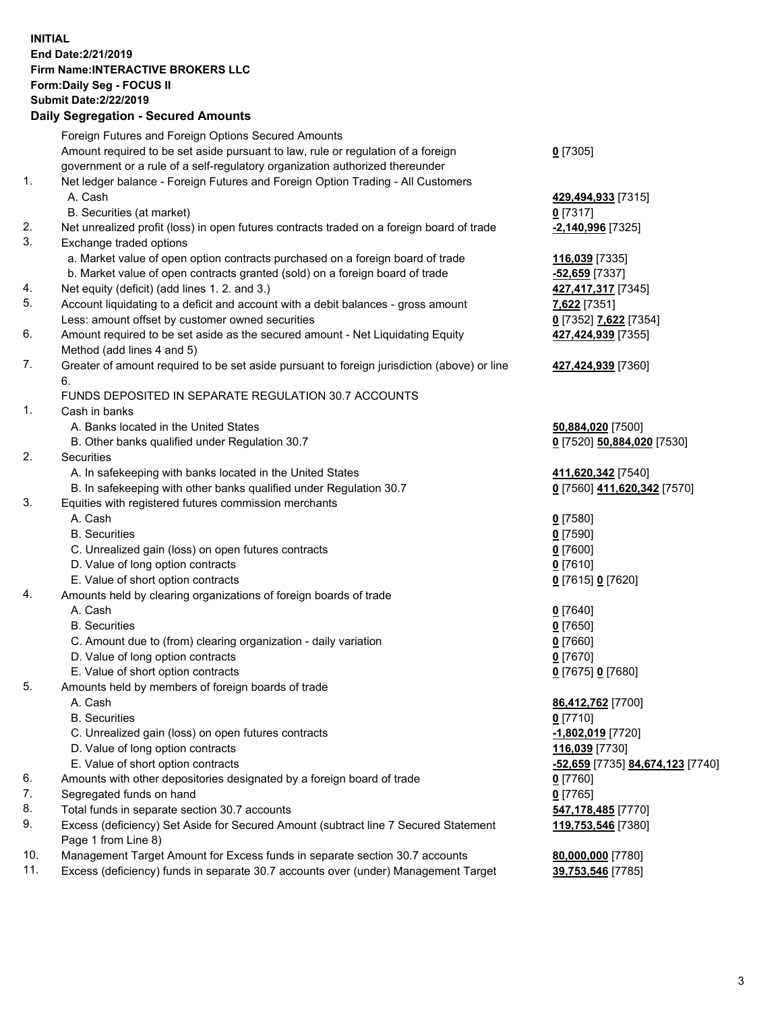## **INITIAL End Date:2/21/2019 Firm Name:INTERACTIVE BROKERS LLC Form:Daily Seg - FOCUS II Submit Date:2/22/2019 Daily Segregation - Secured Amounts**

|     | <u> Bally Ocyfegation - Occared Alliounts</u>                                                              |                                  |
|-----|------------------------------------------------------------------------------------------------------------|----------------------------------|
|     | Foreign Futures and Foreign Options Secured Amounts                                                        |                                  |
|     | Amount required to be set aside pursuant to law, rule or regulation of a foreign                           | $0$ [7305]                       |
|     | government or a rule of a self-regulatory organization authorized thereunder                               |                                  |
| 1.  | Net ledger balance - Foreign Futures and Foreign Option Trading - All Customers                            |                                  |
|     | A. Cash                                                                                                    | 429,494,933 [7315]               |
|     | B. Securities (at market)                                                                                  | $0$ [7317]                       |
| 2.  | Net unrealized profit (loss) in open futures contracts traded on a foreign board of trade                  | -2,140,996 [7325]                |
| 3.  | Exchange traded options                                                                                    |                                  |
|     | a. Market value of open option contracts purchased on a foreign board of trade                             | 116,039 [7335]                   |
|     | b. Market value of open contracts granted (sold) on a foreign board of trade                               | -52,659 [7337]                   |
| 4.  | Net equity (deficit) (add lines 1.2. and 3.)                                                               | 427,417,317 [7345]               |
| 5.  | Account liquidating to a deficit and account with a debit balances - gross amount                          | 7,622 [7351]                     |
|     | Less: amount offset by customer owned securities                                                           | 0 [7352] 7,622 [7354]            |
| 6.  | Amount required to be set aside as the secured amount - Net Liquidating Equity                             | 427,424,939 [7355]               |
|     | Method (add lines 4 and 5)                                                                                 |                                  |
| 7.  | Greater of amount required to be set aside pursuant to foreign jurisdiction (above) or line                | 427,424,939 [7360]               |
|     | 6.                                                                                                         |                                  |
|     | FUNDS DEPOSITED IN SEPARATE REGULATION 30.7 ACCOUNTS                                                       |                                  |
| 1.  | Cash in banks                                                                                              |                                  |
|     | A. Banks located in the United States                                                                      | 50,884,020 [7500]                |
|     | B. Other banks qualified under Regulation 30.7                                                             | 0 [7520] 50,884,020 [7530]       |
| 2.  | Securities                                                                                                 |                                  |
|     | A. In safekeeping with banks located in the United States                                                  | 411,620,342 [7540]               |
|     | B. In safekeeping with other banks qualified under Regulation 30.7                                         | 0 [7560] 411,620,342 [7570]      |
| 3.  | Equities with registered futures commission merchants                                                      |                                  |
|     | A. Cash                                                                                                    | $0$ [7580]                       |
|     | <b>B.</b> Securities                                                                                       | $0$ [7590]                       |
|     | C. Unrealized gain (loss) on open futures contracts                                                        | $0$ [7600]                       |
|     | D. Value of long option contracts                                                                          | $0$ [7610]                       |
|     | E. Value of short option contracts                                                                         | 0 [7615] 0 [7620]                |
| 4.  | Amounts held by clearing organizations of foreign boards of trade                                          |                                  |
|     | A. Cash                                                                                                    | $0$ [7640]                       |
|     | <b>B.</b> Securities                                                                                       | $0$ [7650]                       |
|     | C. Amount due to (from) clearing organization - daily variation                                            | $0$ [7660]                       |
|     | D. Value of long option contracts                                                                          | $0$ [7670]                       |
|     | E. Value of short option contracts                                                                         | 0 [7675] 0 [7680]                |
| 5.  | Amounts held by members of foreign boards of trade                                                         |                                  |
|     | A. Cash                                                                                                    | 86,412,762 [7700]                |
|     | <b>B.</b> Securities                                                                                       | $0$ [7710]                       |
|     | C. Unrealized gain (loss) on open futures contracts                                                        | -1,802,019 [7720]                |
|     | D. Value of long option contracts                                                                          | 116,039 [7730]                   |
|     | E. Value of short option contracts                                                                         | -52,659 [7735] 84,674,123 [7740] |
| 6.  | Amounts with other depositories designated by a foreign board of trade                                     | 0 [7760]                         |
| 7.  | Segregated funds on hand                                                                                   | $0$ [7765]                       |
| 8.  | Total funds in separate section 30.7 accounts                                                              | 547,178,485 [7770]               |
| 9.  | Excess (deficiency) Set Aside for Secured Amount (subtract line 7 Secured Statement<br>Page 1 from Line 8) | 119,753,546 [7380]               |
| 10. | Management Target Amount for Excess funds in separate section 30.7 accounts                                | 80,000,000 [7780]                |
| 11. | Excess (deficiency) funds in separate 30.7 accounts over (under) Management Target                         | 39,753,546 [7785]                |
|     |                                                                                                            |                                  |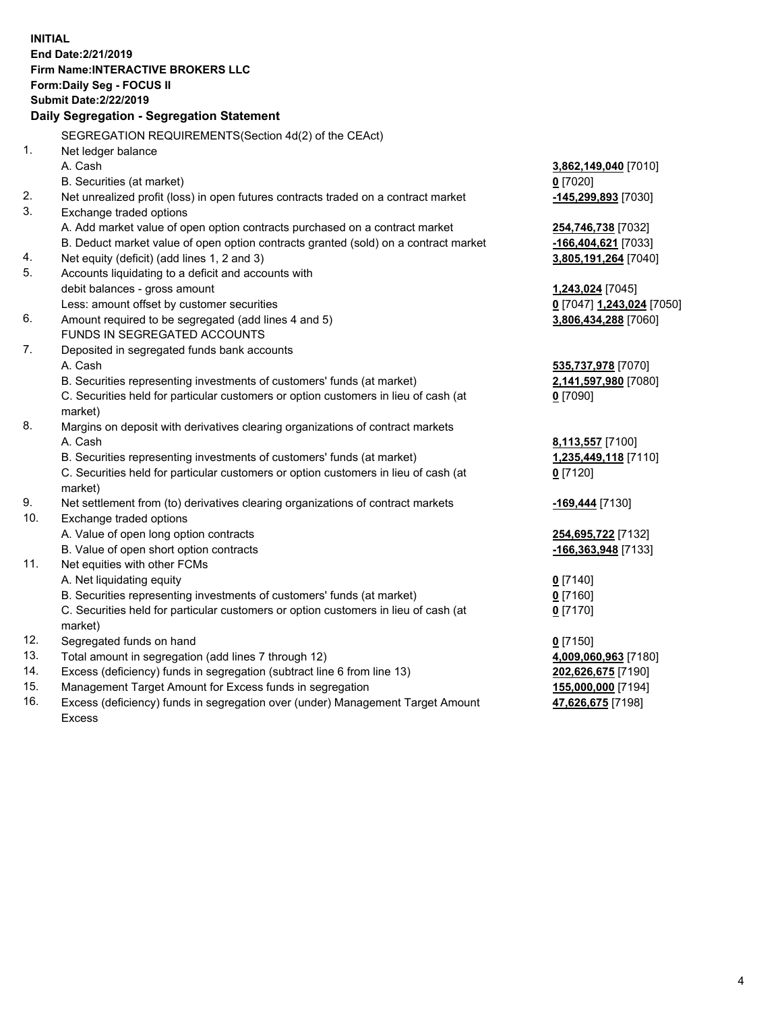**INITIAL End Date:2/21/2019 Firm Name:INTERACTIVE BROKERS LLC Form:Daily Seg - FOCUS II Submit Date:2/22/2019 Daily Segregation - Segregation Statement** SEGREGATION REQUIREMENTS(Section 4d(2) of the CEAct) 1. Net ledger balance A. Cash **3,862,149,040** [7010] B. Securities (at market) **0** [7020] 2. Net unrealized profit (loss) in open futures contracts traded on a contract market **-145,299,893** [7030] 3. Exchange traded options A. Add market value of open option contracts purchased on a contract market **254,746,738** [7032] B. Deduct market value of open option contracts granted (sold) on a contract market **-166,404,621** [7033] 4. Net equity (deficit) (add lines 1, 2 and 3) **3,805,191,264** [7040] 5. Accounts liquidating to a deficit and accounts with debit balances - gross amount **1,243,024** [7045] Less: amount offset by customer securities **0** [7047] **1,243,024** [7050] 6. Amount required to be segregated (add lines 4 and 5) **3,806,434,288** [7060] FUNDS IN SEGREGATED ACCOUNTS 7. Deposited in segregated funds bank accounts A. Cash **535,737,978** [7070] B. Securities representing investments of customers' funds (at market) **2,141,597,980** [7080] C. Securities held for particular customers or option customers in lieu of cash (at market) **0** [7090] 8. Margins on deposit with derivatives clearing organizations of contract markets A. Cash **8,113,557** [7100] B. Securities representing investments of customers' funds (at market) **1,235,449,118** [7110] C. Securities held for particular customers or option customers in lieu of cash (at market) **0** [7120] 9. Net settlement from (to) derivatives clearing organizations of contract markets **-169,444** [7130] 10. Exchange traded options A. Value of open long option contracts **254,695,722** [7132] B. Value of open short option contracts **-166,363,948** [7133] 11. Net equities with other FCMs A. Net liquidating equity **0** [7140] B. Securities representing investments of customers' funds (at market) **0** [7160] C. Securities held for particular customers or option customers in lieu of cash (at market) **0** [7170] 12. Segregated funds on hand **0** [7150] 13. Total amount in segregation (add lines 7 through 12) **4,009,060,963** [7180] 14. Excess (deficiency) funds in segregation (subtract line 6 from line 13) **202,626,675** [7190] 15. Management Target Amount for Excess funds in segregation **155,000,000** [7194]

16. Excess (deficiency) funds in segregation over (under) Management Target Amount Excess

**47,626,675** [7198]